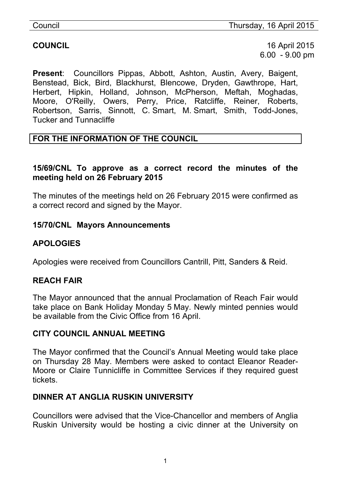**COUNCIL** 16 April 2015 6.00 - 9.00 pm

**Present**: Councillors Pippas, Abbott, Ashton, Austin, Avery, Baigent, Benstead, Bick, Bird, Blackhurst, Blencowe, Dryden, Gawthrope, Hart, Herbert, Hipkin, Holland, Johnson, McPherson, Meftah, Moghadas, Moore, O'Reilly, Owers, Perry, Price, Ratcliffe, Reiner, Roberts, Robertson, Sarris, Sinnott, C. Smart, M. Smart, Smith, Todd-Jones, Tucker and Tunnacliffe

## **FOR THE INFORMATION OF THE COUNCIL**

#### **15/69/CNL To approve as a correct record the minutes of the meeting held on 26 February 2015**

The minutes of the meetings held on 26 February 2015 were confirmed as a correct record and signed by the Mayor.

#### **15/70/CNL Mayors Announcements**

# **APOLOGIES**

Apologies were received from Councillors Cantrill, Pitt, Sanders & Reid.

## **REACH FAIR**

The Mayor announced that the annual Proclamation of Reach Fair would take place on Bank Holiday Monday 5 May. Newly minted pennies would be available from the Civic Office from 16 April.

#### **CITY COUNCIL ANNUAL MEETING**

The Mayor confirmed that the Council's Annual Meeting would take place on Thursday 28 May. Members were asked to contact Eleanor Reader-Moore or Claire Tunnicliffe in Committee Services if they required guest tickets.

## **DINNER AT ANGLIA RUSKIN UNIVERSITY**

Councillors were advised that the Vice-Chancellor and members of Anglia Ruskin University would be hosting a civic dinner at the University on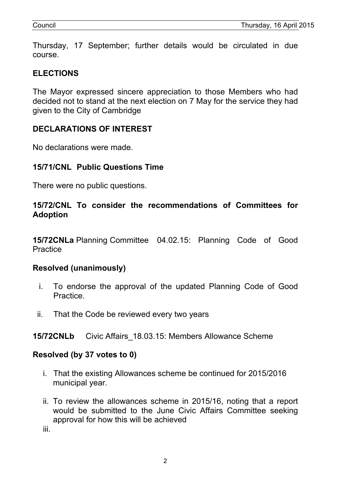Thursday, 17 September; further details would be circulated in due course.

# **ELECTIONS**

The Mayor expressed sincere appreciation to those Members who had decided not to stand at the next election on 7 May for the service they had given to the City of Cambridge

# **DECLARATIONS OF INTEREST**

No declarations were made.

## **15/71/CNL Public Questions Time**

There were no public questions.

#### **15/72/CNL To consider the recommendations of Committees for Adoption**

**15/72CNLa** Planning Committee 04.02.15: Planning Code of Good **Practice** 

#### **Resolved (unanimously)**

- i. To endorse the approval of the updated Planning Code of Good Practice.
- ii. That the Code be reviewed every two years

#### **15/72CNLb** Civic Affairs\_18.03.15: Members Allowance Scheme

#### **Resolved (by 37 votes to 0)**

- i. That the existing Allowances scheme be continued for 2015/2016 municipal year.
- ii. To review the allowances scheme in 2015/16, noting that a report would be submitted to the June Civic Affairs Committee seeking approval for how this will be achieved

iii.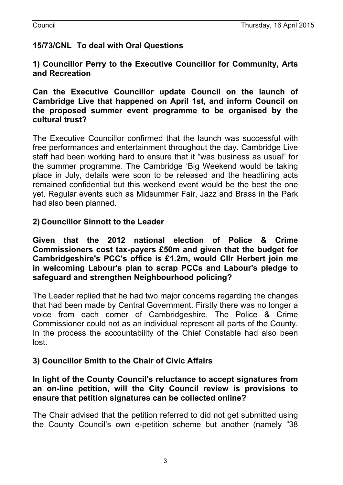# **15/73/CNL To deal with Oral Questions**

**1) Councillor Perry to the Executive Councillor for Community, Arts and Recreation**

**Can the Executive Councillor update Council on the launch of Cambridge Live that happened on April 1st, and inform Council on the proposed summer event programme to be organised by the cultural trust?**

The Executive Councillor confirmed that the launch was successful with free performances and entertainment throughout the day. Cambridge Live staff had been working hard to ensure that it "was business as usual" for the summer programme. The Cambridge 'Big Weekend would be taking place in July, details were soon to be released and the headlining acts remained confidential but this weekend event would be the best the one yet. Regular events such as Midsummer Fair, Jazz and Brass in the Park had also been planned.

### **2) Councillor Sinnott to the Leader**

**Given that the 2012 national election of Police & Crime Commissioners cost tax-payers £50m and given that the budget for Cambridgeshire's PCC's office is £1.2m, would Cllr Herbert join me in welcoming Labour's plan to scrap PCCs and Labour's pledge to safeguard and strengthen Neighbourhood policing?**

The Leader replied that he had two major concerns regarding the changes that had been made by Central Government. Firstly there was no longer a voice from each corner of Cambridgeshire. The Police & Crime Commissioner could not as an individual represent all parts of the County. In the process the accountability of the Chief Constable had also been lost.

## **3) Councillor Smith to the Chair of Civic Affairs**

#### **In light of the County Council's reluctance to accept signatures from an on-line petition, will the City Council review is provisions to ensure that petition signatures can be collected online?**

The Chair advised that the petition referred to did not get submitted using the County Council's own e-petition scheme but another (namely "38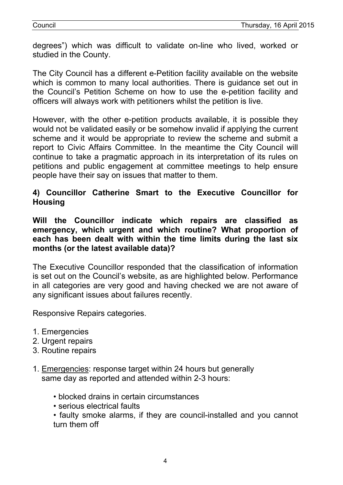degrees") which was difficult to validate on-line who lived, worked or studied in the County.

The City Council has a different e-Petition facility available on the website which is common to many local authorities. There is quidance set out in the Council's Petition Scheme on how to use the e-petition facility and officers will always work with petitioners whilst the petition is live.

However, with the other e-petition products available, it is possible they would not be validated easily or be somehow invalid if applying the current scheme and it would be appropriate to review the scheme and submit a report to Civic Affairs Committee. In the meantime the City Council will continue to take a pragmatic approach in its interpretation of its rules on petitions and public engagement at committee meetings to help ensure people have their say on issues that matter to them.

### **4) Councillor Catherine Smart to the Executive Councillor for Housing**

**Will the Councillor indicate which repairs are classified as emergency, which urgent and which routine? What proportion of each has been dealt with within the time limits during the last six months (or the latest available data)?**

The Executive Councillor responded that the classification of information is set out on the Council's website, as are highlighted below. Performance in all categories are very good and having checked we are not aware of any significant issues about failures recently.

Responsive Repairs categories.

- 1. Emergencies
- 2. Urgent repairs
- 3. Routine repairs
- 1. Emergencies: response target within 24 hours but generally same day as reported and attended within 2-3 hours:
	- blocked drains in certain circumstances
	- serious electrical faults

• faulty smoke alarms, if they are council-installed and you cannot turn them off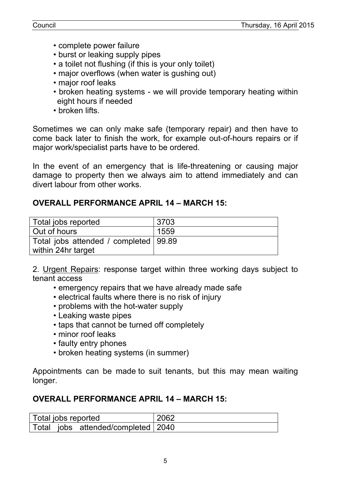- complete power failure
- burst or leaking supply pipes
- a toilet not flushing (if this is your only toilet)
- major overflows (when water is gushing out)
- major roof leaks
- broken heating systems we will provide temporary heating within eight hours if needed
- broken lifts.

Sometimes we can only make safe (temporary repair) and then have to come back later to finish the work, for example out-of-hours repairs or if major work/specialist parts have to be ordered.

In the event of an emergency that is life-threatening or causing major damage to property then we always aim to attend immediately and can divert labour from other works.

### **OVERALL PERFORMANCE APRIL 14 – MARCH 15:**

| Total jobs reported                     | 3703 |
|-----------------------------------------|------|
| Out of hours                            | 1559 |
| Total jobs attended / completed   99.89 |      |
| within 24hr target                      |      |

2. Urgent Repairs: response target within three working days subject to tenant access

- emergency repairs that we have already made safe
- electrical faults where there is no risk of injury
- problems with the hot-water supply
- Leaking waste pipes
- taps that cannot be turned off completely
- minor roof leaks
- faulty entry phones
- broken heating systems (in summer)

Appointments can be made to suit tenants, but this may mean waiting longer.

## **OVERALL PERFORMANCE APRIL 14 – MARCH 15:**

| Total jobs reported |  |                                    | 2062 |
|---------------------|--|------------------------------------|------|
|                     |  | Total jobs attended/completed 2040 |      |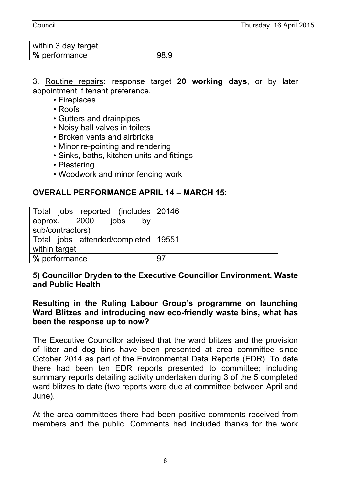Council Thursday, 16 April 2015

| within 3 day target |  |
|---------------------|--|
| ∣% performance      |  |

3. Routine repairs**:** response target **20 working days**, or by later appointment if tenant preference.

- Fireplaces
- Roofs
- Gutters and drainpipes
- Noisy ball valves in toilets
- Broken vents and airbricks
- Minor re-pointing and rendering
- Sinks, baths, kitchen units and fittings
- Plastering
- Woodwork and minor fencing work

## **OVERALL PERFORMANCE APRIL 14 – MARCH 15:**

| Total jobs reported (includes 20146) |    |
|--------------------------------------|----|
| by<br>approx. 2000 jobs              |    |
| sub/contractors)                     |    |
| Total jobs attended/completed 19551  |    |
| within target                        |    |
| % performance                        | 97 |

#### **5) Councillor Dryden to the Executive Councillor Environment, Waste and Public Health**

#### **Resulting in the Ruling Labour Group's programme on launching Ward Blitzes and introducing new eco-friendly waste bins, what has been the response up to now?**

The Executive Councillor advised that the ward blitzes and the provision of litter and dog bins have been presented at area committee since October 2014 as part of the Environmental Data Reports (EDR). To date there had been ten EDR reports presented to committee; including summary reports detailing activity undertaken during 3 of the 5 completed ward blitzes to date (two reports were due at committee between April and June).

At the area committees there had been positive comments received from members and the public. Comments had included thanks for the work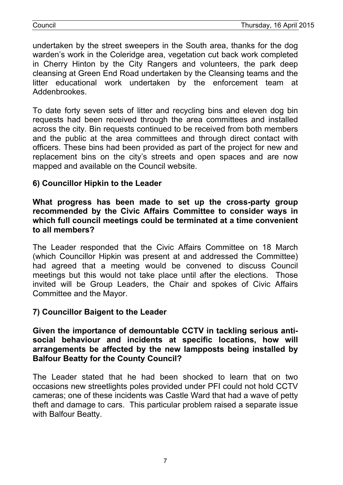undertaken by the street sweepers in the South area, thanks for the dog warden's work in the Coleridge area, vegetation cut back work completed in Cherry Hinton by the City Rangers and volunteers, the park deep cleansing at Green End Road undertaken by the Cleansing teams and the litter educational work undertaken by the enforcement team at Addenbrookes.

To date forty seven sets of litter and recycling bins and eleven dog bin requests had been received through the area committees and installed across the city. Bin requests continued to be received from both members and the public at the area committees and through direct contact with officers. These bins had been provided as part of the project for new and replacement bins on the city's streets and open spaces and are now mapped and available on the Council website.

# **6) Councillor Hipkin to the Leader**

#### **What progress has been made to set up the cross-party group recommended by the Civic Affairs Committee to consider ways in which full council meetings could be terminated at a time convenient to all members?**

The Leader responded that the Civic Affairs Committee on 18 March (which Councillor Hipkin was present at and addressed the Committee) had agreed that a meeting would be convened to discuss Council meetings but this would not take place until after the elections. Those invited will be Group Leaders, the Chair and spokes of Civic Affairs Committee and the Mayor.

## **7) Councillor Baigent to the Leader**

**Given the importance of demountable CCTV in tackling serious antisocial behaviour and incidents at specific locations, how will arrangements be affected by the new lampposts being installed by Balfour Beatty for the County Council?**

The Leader stated that he had been shocked to learn that on two occasions new streetlights poles provided under PFI could not hold CCTV cameras; one of these incidents was Castle Ward that had a wave of petty theft and damage to cars. This particular problem raised a separate issue with Balfour Beatty.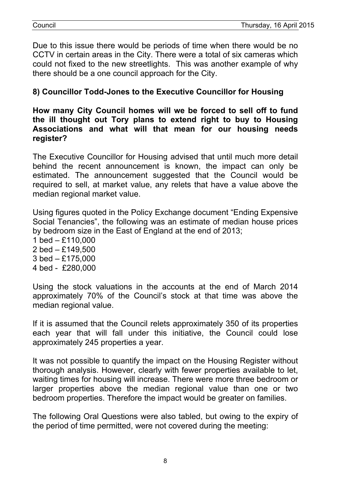Due to this issue there would be periods of time when there would be no CCTV in certain areas in the City. There were a total of six cameras which could not fixed to the new streetlights. This was another example of why there should be a one council approach for the City.

## **8) Councillor Todd-Jones to the Executive Councillor for Housing**

#### **How many City Council homes will we be forced to sell off to fund the ill thought out Tory plans to extend right to buy to Housing Associations and what will that mean for our housing needs register?**

The Executive Councillor for Housing advised that until much more detail behind the recent announcement is known, the impact can only be estimated. The announcement suggested that the Council would be required to sell, at market value, any relets that have a value above the median regional market value.

Using figures quoted in the Policy Exchange document "Ending Expensive Social Tenancies", the following was an estimate of median house prices by bedroom size in the East of England at the end of 2013;

- 1 bed £110,000 2 bed – £149,500 3 bed – £175,000
- 4 bed £280,000

Using the stock valuations in the accounts at the end of March 2014 approximately 70% of the Council's stock at that time was above the median regional value.

If it is assumed that the Council relets approximately 350 of its properties each year that will fall under this initiative, the Council could lose approximately 245 properties a year.

It was not possible to quantify the impact on the Housing Register without thorough analysis. However, clearly with fewer properties available to let, waiting times for housing will increase. There were more three bedroom or larger properties above the median regional value than one or two bedroom properties. Therefore the impact would be greater on families.

The following Oral Questions were also tabled, but owing to the expiry of the period of time permitted, were not covered during the meeting: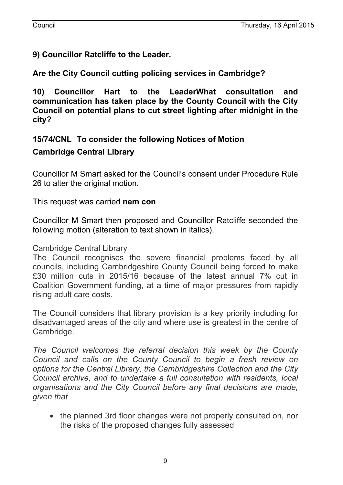**9) Councillor Ratcliffe to the Leader.**

**Are the City Council cutting policing services in Cambridge?**

**10) Councillor Hart to the LeaderWhat consultation and communication has taken place by the County Council with the City Council on potential plans to cut street lighting after midnight in the city?**

## **15/74/CNL To consider the following Notices of Motion**

#### **Cambridge Central Library**

Councillor M Smart asked for the Council's consent under Procedure Rule 26 to alter the original motion.

This request was carried **nem con**

Councillor M Smart then proposed and Councillor Ratcliffe seconded the following motion (alteration to text shown in italics).

#### Cambridge Central Library

The Council recognises the severe financial problems faced by all councils, including Cambridgeshire County Council being forced to make £30 million cuts in 2015/16 because of the latest annual 7% cut in Coalition Government funding, at a time of major pressures from rapidly rising adult care costs.

The Council considers that library provision is a key priority including for disadvantaged areas of the city and where use is greatest in the centre of Cambridge.

*The Council welcomes the referral decision this week by the County Council and calls on the County Council to begin a fresh review on options for the Central Library, the Cambridgeshire Collection and the City Council archive, and to undertake a full consultation with residents, local organisations and the City Council before any final decisions are made, given that*

• the planned 3rd floor changes were not properly consulted on, nor the risks of the proposed changes fully assessed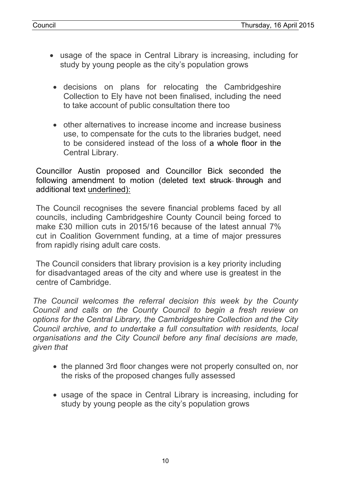- usage of the space in Central Library is increasing, including for study by young people as the city's population grows
- decisions on plans for relocating the Cambridgeshire Collection to Ely have not been finalised, including the need to take account of public consultation there too
- other alternatives to increase income and increase business use, to compensate for the cuts to the libraries budget, need to be considered instead of the loss of a whole floor in the Central Library.

Councillor Austin proposed and Councillor Bick seconded the following amendment to motion (deleted text struck through and additional text underlined):

The Council recognises the severe financial problems faced by all councils, including Cambridgeshire County Council being forced to make £30 million cuts in 2015/16 because of the latest annual 7% cut in Coalition Government funding, at a time of major pressures from rapidly rising adult care costs.

The Council considers that library provision is a key priority including for disadvantaged areas of the city and where use is greatest in the centre of Cambridge.

*The Council welcomes the referral decision this week by the County Council and calls on the County Council to begin a fresh review on options for the Central Library, the Cambridgeshire Collection and the City Council archive, and to undertake a full consultation with residents, local organisations and the City Council before any final decisions are made, given that*

- the planned 3rd floor changes were not properly consulted on, nor the risks of the proposed changes fully assessed
- usage of the space in Central Library is increasing, including for study by young people as the city's population grows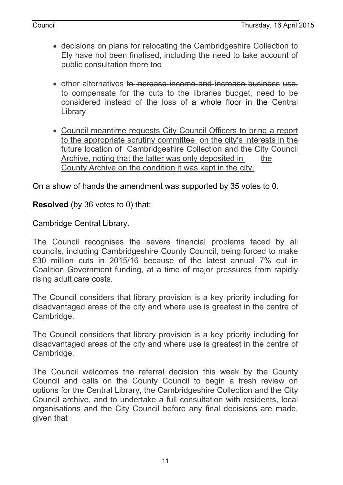- decisions on plans for relocating the Cambridgeshire Collection to Ely have not been finalised, including the need to take account of public consultation there too
- other alternatives to increase income and increase business use, to compensate for the cuts to the libraries budget, need to be considered instead of the loss of a whole floor in the Central **Library**
- Council meantime requests City Council Officers to bring a report to the appropriate scrutiny committee on the city's interests in the future location of Cambridgeshire Collection and the City Council Archive, noting that the latter was only deposited in the County Archive on the condition it was kept in the city.

On a show of hands the amendment was supported by 35 votes to 0.

### **Resolved** (by 36 votes to 0) that:

#### Cambridge Central Library.

The Council recognises the severe financial problems faced by all councils, including Cambridgeshire County Council, being forced to make £30 million cuts in 2015/16 because of the latest annual 7% cut in Coalition Government funding, at a time of major pressures from rapidly rising adult care costs.

The Council considers that library provision is a key priority including for disadvantaged areas of the city and where use is greatest in the centre of Cambridge.

The Council considers that library provision is a key priority including for disadvantaged areas of the city and where use is greatest in the centre of Cambridge.

The Council welcomes the referral decision this week by the County Council and calls on the County Council to begin a fresh review on options for the Central Library, the Cambridgeshire Collection and the City Council archive, and to undertake a full consultation with residents, local organisations and the City Council before any final decisions are made, given that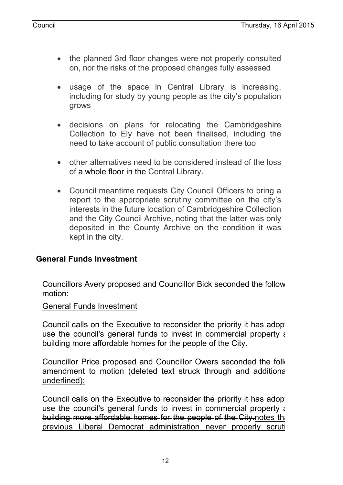- the planned 3rd floor changes were not properly consulted on, nor the risks of the proposed changes fully assessed
- usage of the space in Central Library is increasing, including for study by young people as the city's population grows
- decisions on plans for relocating the Cambridgeshire Collection to Ely have not been finalised, including the need to take account of public consultation there too
- other alternatives need to be considered instead of the loss of a whole floor in the Central Library.
- Council meantime requests City Council Officers to bring a report to the appropriate scrutiny committee on the city's interests in the future location of Cambridgeshire Collection and the City Council Archive, noting that the latter was only deposited in the County Archive on the condition it was kept in the city.

#### **General Funds Investment**

Councillors Avery proposed and Councillor Bick seconded the follow motion:

#### General Funds Investment

Council calls on the Executive to reconsider the priority it has adopted use the council's general funds to invest in commercial property a building more affordable homes for the people of the City.

Councillor Price proposed and Councillor Owers seconded the following amendment to motion (deleted text struck through and additional underlined):

Council calls on the Executive to reconsider the priority it has adopted use the council's general funds to invest in commercial property a building more affordable homes for the people of the City notes the previous Liberal Democrat administration never properly scruting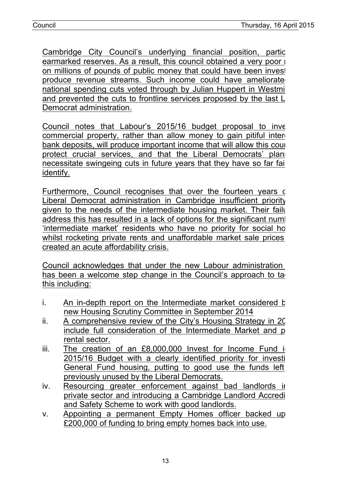Cambridge City Council's underlying financial position, partic earmarked reserves. As a result, this council obtained a very poor  $\overline{\phantom{a}}$ on millions of pounds of public money that could have been invest produce revenue streams. Such income could have ameliorate national spending cuts voted through by Julian Huppert in Westmin and prevented the cuts to frontline services proposed by the last L Democrat administration.

Council notes that Labour's 2015/16 budget proposal to inve commercial property, rather than allow money to gain pitiful intere bank deposits, will produce important income that will allow this council protect crucial services, and that the Liberal Democrats' plans necessitate swingeing cuts in future years that they have so far fail identify.

Furthermore, Council recognises that over the fourteen years of Liberal Democrat administration in Cambridge insufficient priority given to the needs of the intermediate housing market. Their failure address this has resulted in a lack of options for the significant numler 'intermediate market' residents who have no priority for social ho whilst rocketing private rents and unaffordable market sale prices created an acute affordability crisis.

Council acknowledges that under the new Labour administration has been a welcome step change in the Council's approach to ta this including:

- $i.$  An in-depth report on the Intermediate market considered b new Housing Scrutiny Committee in September 2014
- $ii.$  A comprehensive review of the City's Housing Strategy in 20 include full consideration of the Intermediate Market and p rental sector.
- iii. The creation of an  $£8,000,000$  Invest for Income Fund in 2015/16 Budget with a clearly identified priority for investing General Fund housing, putting to good use the funds left previously unused by the Liberal Democrats.
- iv. Resourcing greater enforcement against bad landlords in private sector and introducing a Cambridge Landlord Accredi and Safety Scheme to work with good landlords.
- v. Appointing a permanent Empty Homes officer backed up £200,000 of funding to bring empty homes back into use.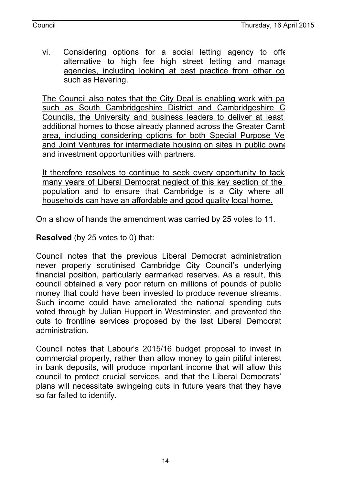vi. Considering options for a social letting agency to offer alternative to high fee high street letting and manage agencies, including looking at best practice from other co such as Havering.

The Council also notes that the City Deal is enabling work with partners. such as South Cambridgeshire District and Cambridgeshire C Councils, the University and business leaders to deliver at least additional homes to those already planned across the Greater Camt area, including considering options for both Special Purpose Vel and Joint Ventures for intermediate housing on sites in public ownership and investment opportunities with partners.

It therefore resolves to continue to seek every opportunity to tack many years of Liberal Democrat neglect of this key section of the population and to ensure that Cambridge is a City where all households can have an affordable and good quality local home.

On a show of hands the amendment was carried by 25 votes to 11.

**Resolved** (by 25 votes to 0) that:

Council notes that the previous Liberal Democrat administration never properly scrutinised Cambridge City Council's underlying financial position, particularly earmarked reserves. As a result, this council obtained a very poor return on millions of pounds of public money that could have been invested to produce revenue streams. Such income could have ameliorated the national spending cuts voted through by Julian Huppert in Westminster, and prevented the cuts to frontline services proposed by the last Liberal Democrat administration.

Council notes that Labour's 2015/16 budget proposal to invest in commercial property, rather than allow money to gain pitiful interest in bank deposits, will produce important income that will allow this council to protect crucial services, and that the Liberal Democrats' plans will necessitate swingeing cuts in future years that they have so far failed to identify.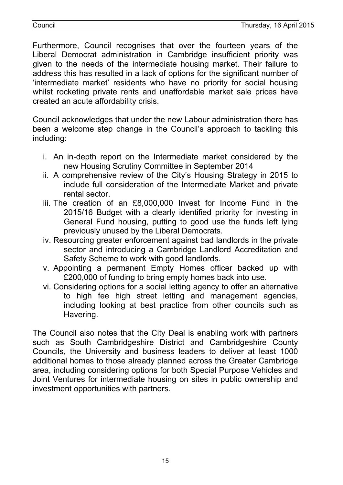Furthermore, Council recognises that over the fourteen years of the Liberal Democrat administration in Cambridge insufficient priority was given to the needs of the intermediate housing market. Their failure to address this has resulted in a lack of options for the significant number of 'intermediate market' residents who have no priority for social housing whilst rocketing private rents and unaffordable market sale prices have created an acute affordability crisis.

Council acknowledges that under the new Labour administration there has been a welcome step change in the Council's approach to tackling this including:

- i. An in-depth report on the Intermediate market considered by the new Housing Scrutiny Committee in September 2014
- ii. A comprehensive review of the City's Housing Strategy in 2015 to include full consideration of the Intermediate Market and private rental sector.
- iii. The creation of an £8,000,000 Invest for Income Fund in the 2015/16 Budget with a clearly identified priority for investing in General Fund housing, putting to good use the funds left lying previously unused by the Liberal Democrats.
- iv. Resourcing greater enforcement against bad landlords in the private sector and introducing a Cambridge Landlord Accreditation and Safety Scheme to work with good landlords.
- v. Appointing a permanent Empty Homes officer backed up with £200,000 of funding to bring empty homes back into use.
- vi. Considering options for a social letting agency to offer an alternative to high fee high street letting and management agencies, including looking at best practice from other councils such as Havering.

The Council also notes that the City Deal is enabling work with partners such as South Cambridgeshire District and Cambridgeshire County Councils, the University and business leaders to deliver at least 1000 additional homes to those already planned across the Greater Cambridge area, including considering options for both Special Purpose Vehicles and Joint Ventures for intermediate housing on sites in public ownership and investment opportunities with partners.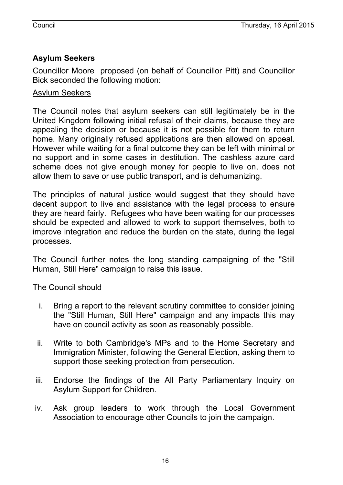# **Asylum Seekers**

Councillor Moore proposed (on behalf of Councillor Pitt) and Councillor Bick seconded the following motion:

#### Asylum Seekers

The Council notes that asylum seekers can still legitimately be in the United Kingdom following initial refusal of their claims, because they are appealing the decision or because it is not possible for them to return home. Many originally refused applications are then allowed on appeal. However while waiting for a final outcome they can be left with minimal or no support and in some cases in destitution. The cashless azure card scheme does not give enough money for people to live on, does not allow them to save or use public transport, and is dehumanizing.

The principles of natural justice would suggest that they should have decent support to live and assistance with the legal process to ensure they are heard fairly. Refugees who have been waiting for our processes should be expected and allowed to work to support themselves, both to improve integration and reduce the burden on the state, during the legal processes.

The Council further notes the long standing campaigning of the "Still Human, Still Here" campaign to raise this issue.

The Council should

- i. Bring a report to the relevant scrutiny committee to consider joining the "Still Human, Still Here" campaign and any impacts this may have on council activity as soon as reasonably possible.
- ii. Write to both Cambridge's MPs and to the Home Secretary and Immigration Minister, following the General Election, asking them to support those seeking protection from persecution.
- iii. Endorse the findings of the All Party Parliamentary Inquiry on Asylum Support for Children.
- iv. Ask group leaders to work through the Local Government Association to encourage other Councils to join the campaign.